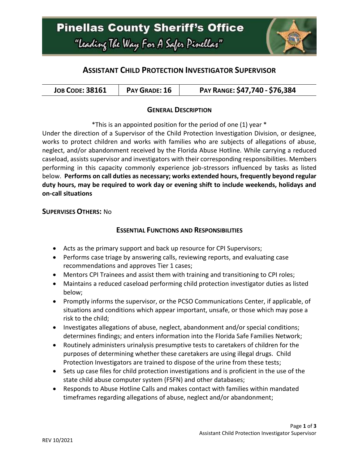

# **ASSISTANT CHILD PROTECTION INVESTIGATOR SUPERVISOR**

| <b>JOB CODE: 38161</b> | PAY RANGE: \$47,740 - \$76,384<br>PAY GRADE: 16 |
|------------------------|-------------------------------------------------|
|------------------------|-------------------------------------------------|

### **GENERAL DESCRIPTION**

\*This is an appointed position for the period of one (1) year \*

Under the direction of a Supervisor of the Child Protection Investigation Division, or designee, works to protect children and works with families who are subjects of allegations of abuse, neglect, and/or abandonment received by the Florida Abuse Hotline. While carrying a reduced caseload, assists supervisor and investigators with their corresponding responsibilities. Members performing in this capacity commonly experience job-stressors influenced by tasks as listed below. **Performs on call duties as necessary; works extended hours, frequently beyond regular duty hours, may be required to work day or evening shift to include weekends, holidays and on-call situations**

#### **SUPERVISES OTHERS:** No

### **ESSENTIAL FUNCTIONS AND RESPONSIBILITIES**

- Acts as the primary support and back up resource for CPI Supervisors;
- Performs case triage by answering calls, reviewing reports, and evaluating case recommendations and approves Tier 1 cases;
- Mentors CPI Trainees and assist them with training and transitioning to CPI roles;
- Maintains a reduced caseload performing child protection investigator duties as listed below;
- Promptly informs the supervisor, or the PCSO Communications Center, if applicable, of situations and conditions which appear important, unsafe, or those which may pose a risk to the child;
- Investigates allegations of abuse, neglect, abandonment and/or special conditions; determines findings; and enters information into the Florida Safe Families Network;
- Routinely administers urinalysis presumptive tests to caretakers of children for the purposes of determining whether these caretakers are using illegal drugs. Child Protection Investigators are trained to dispose of the urine from these tests;
- Sets up case files for child protection investigations and is proficient in the use of the state child abuse computer system (FSFN) and other databases;
- Responds to Abuse Hotline Calls and makes contact with families within mandated timeframes regarding allegations of abuse, neglect and/or abandonment;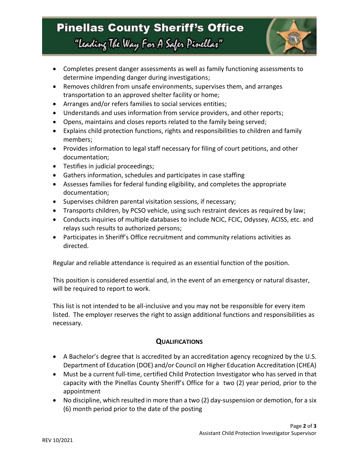# **Pinellas County Sheriff's Office** "Leading The Way For A Safer Pinellar"



- Completes present danger assessments as well as family functioning assessments to determine impending danger during investigations;
- Removes children from unsafe environments, supervises them, and arranges transportation to an approved shelter facility or home;
- Arranges and/or refers families to social services entities;
- Understands and uses information from service providers, and other reports;
- Opens, maintains and closes reports related to the family being served;
- Explains child protection functions, rights and responsibilities to children and family members;
- Provides information to legal staff necessary for filing of court petitions, and other documentation;
- **•** Testifies in judicial proceedings;
- Gathers information, schedules and participates in case staffing
- Assesses families for federal funding eligibility, and completes the appropriate documentation;
- Supervises children parental visitation sessions, if necessary;
- Transports children, by PCSO vehicle, using such restraint devices as required by law;
- Conducts inquiries of multiple databases to include NCIC, FCIC, Odyssey, ACISS, etc. and relays such results to authorized persons;
- Participates in Sheriff's Office recruitment and community relations activities as directed.

Regular and reliable attendance is required as an essential function of the position.

This position is considered essential and, in the event of an emergency or natural disaster, will be required to report to work.

This list is not intended to be all-inclusive and you may not be responsible for every item listed. The employer reserves the right to assign additional functions and responsibilities as necessary.

# **QUALIFICATIONS**

- A Bachelor's degree that is accredited by an accreditation agency recognized by the U.S. Department of Education (DOE) and/or Council on Higher Education Accreditation (CHEA)
- Must be a current full-time, certified Child Protection Investigator who has served in that capacity with the Pinellas County Sheriff's Office for a two (2) year period, prior to the appointment
- No discipline, which resulted in more than a two (2) day-suspension or demotion, for a six (6) month period prior to the date of the posting